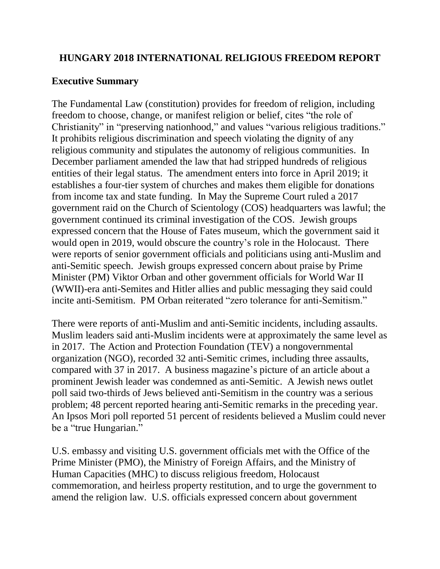### **HUNGARY 2018 INTERNATIONAL RELIGIOUS FREEDOM REPORT**

### **Executive Summary**

The Fundamental Law (constitution) provides for freedom of religion, including freedom to choose, change, or manifest religion or belief, cites "the role of Christianity" in "preserving nationhood," and values "various religious traditions." It prohibits religious discrimination and speech violating the dignity of any religious community and stipulates the autonomy of religious communities. In December parliament amended the law that had stripped hundreds of religious entities of their legal status. The amendment enters into force in April 2019; it establishes a four-tier system of churches and makes them eligible for donations from income tax and state funding. In May the Supreme Court ruled a 2017 government raid on the Church of Scientology (COS) headquarters was lawful; the government continued its criminal investigation of the COS. Jewish groups expressed concern that the House of Fates museum, which the government said it would open in 2019, would obscure the country's role in the Holocaust. There were reports of senior government officials and politicians using anti-Muslim and anti-Semitic speech. Jewish groups expressed concern about praise by Prime Minister (PM) Viktor Orban and other government officials for World War II (WWII)-era anti-Semites and Hitler allies and public messaging they said could incite anti-Semitism. PM Orban reiterated "zero tolerance for anti-Semitism."

There were reports of anti-Muslim and anti-Semitic incidents, including assaults. Muslim leaders said anti-Muslim incidents were at approximately the same level as in 2017. The Action and Protection Foundation (TEV) a nongovernmental organization (NGO), recorded 32 anti-Semitic crimes, including three assaults, compared with 37 in 2017. A business magazine's picture of an article about a prominent Jewish leader was condemned as anti-Semitic. A Jewish news outlet poll said two-thirds of Jews believed anti-Semitism in the country was a serious problem; 48 percent reported hearing anti-Semitic remarks in the preceding year. An Ipsos Mori poll reported 51 percent of residents believed a Muslim could never be a "true Hungarian."

U.S. embassy and visiting U.S. government officials met with the Office of the Prime Minister (PMO), the Ministry of Foreign Affairs, and the Ministry of Human Capacities (MHC) to discuss religious freedom, Holocaust commemoration, and heirless property restitution, and to urge the government to amend the religion law. U.S. officials expressed concern about government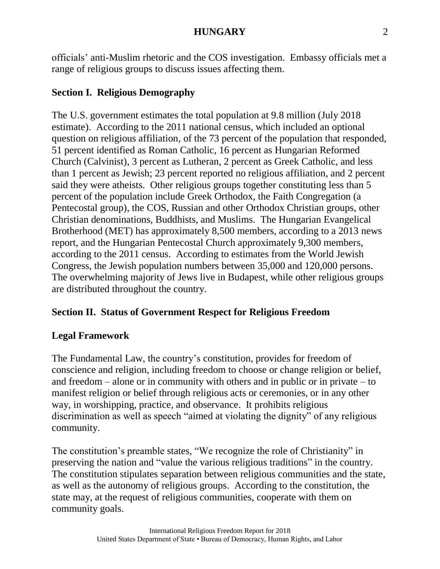officials' anti-Muslim rhetoric and the COS investigation. Embassy officials met a range of religious groups to discuss issues affecting them.

## **Section I. Religious Demography**

The U.S. government estimates the total population at 9.8 million (July 2018 estimate). According to the 2011 national census, which included an optional question on religious affiliation, of the 73 percent of the population that responded, 51 percent identified as Roman Catholic, 16 percent as Hungarian Reformed Church (Calvinist), 3 percent as Lutheran, 2 percent as Greek Catholic, and less than 1 percent as Jewish; 23 percent reported no religious affiliation, and 2 percent said they were atheists. Other religious groups together constituting less than 5 percent of the population include Greek Orthodox, the Faith Congregation (a Pentecostal group), the COS, Russian and other Orthodox Christian groups, other Christian denominations, Buddhists, and Muslims. The Hungarian Evangelical Brotherhood (MET) has approximately 8,500 members, according to a 2013 news report, and the Hungarian Pentecostal Church approximately 9,300 members, according to the 2011 census. According to estimates from the World Jewish Congress, the Jewish population numbers between 35,000 and 120,000 persons. The overwhelming majority of Jews live in Budapest, while other religious groups are distributed throughout the country.

## **Section II. Status of Government Respect for Religious Freedom**

## **Legal Framework**

The Fundamental Law, the country's constitution, provides for freedom of conscience and religion, including freedom to choose or change religion or belief, and freedom – alone or in community with others and in public or in private – to manifest religion or belief through religious acts or ceremonies, or in any other way, in worshipping, practice, and observance. It prohibits religious discrimination as well as speech "aimed at violating the dignity" of any religious community.

The constitution's preamble states, "We recognize the role of Christianity" in preserving the nation and "value the various religious traditions" in the country. The constitution stipulates separation between religious communities and the state, as well as the autonomy of religious groups. According to the constitution, the state may, at the request of religious communities, cooperate with them on community goals.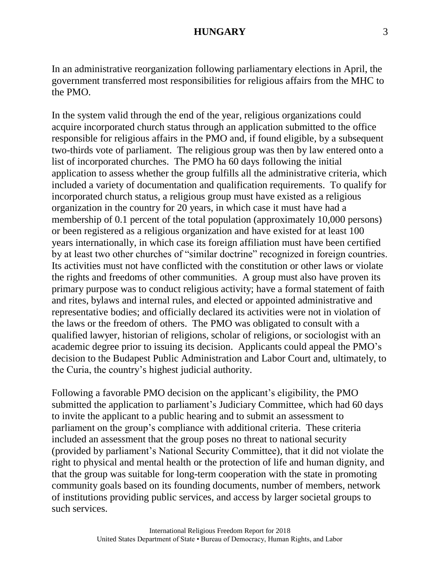In an administrative reorganization following parliamentary elections in April, the government transferred most responsibilities for religious affairs from the MHC to the PMO.

In the system valid through the end of the year, religious organizations could acquire incorporated church status through an application submitted to the office responsible for religious affairs in the PMO and, if found eligible, by a subsequent two-thirds vote of parliament. The religious group was then by law entered onto a list of incorporated churches. The PMO ha 60 days following the initial application to assess whether the group fulfills all the administrative criteria, which included a variety of documentation and qualification requirements. To qualify for incorporated church status, a religious group must have existed as a religious organization in the country for 20 years, in which case it must have had a membership of 0.1 percent of the total population (approximately 10,000 persons) or been registered as a religious organization and have existed for at least 100 years internationally, in which case its foreign affiliation must have been certified by at least two other churches of "similar doctrine" recognized in foreign countries. Its activities must not have conflicted with the constitution or other laws or violate the rights and freedoms of other communities. A group must also have proven its primary purpose was to conduct religious activity; have a formal statement of faith and rites, bylaws and internal rules, and elected or appointed administrative and representative bodies; and officially declared its activities were not in violation of the laws or the freedom of others. The PMO was obligated to consult with a qualified lawyer, historian of religions, scholar of religions, or sociologist with an academic degree prior to issuing its decision. Applicants could appeal the PMO's decision to the Budapest Public Administration and Labor Court and, ultimately, to the Curia, the country's highest judicial authority.

Following a favorable PMO decision on the applicant's eligibility, the PMO submitted the application to parliament's Judiciary Committee, which had 60 days to invite the applicant to a public hearing and to submit an assessment to parliament on the group's compliance with additional criteria. These criteria included an assessment that the group poses no threat to national security (provided by parliament's National Security Committee), that it did not violate the right to physical and mental health or the protection of life and human dignity, and that the group was suitable for long-term cooperation with the state in promoting community goals based on its founding documents, number of members, network of institutions providing public services, and access by larger societal groups to such services.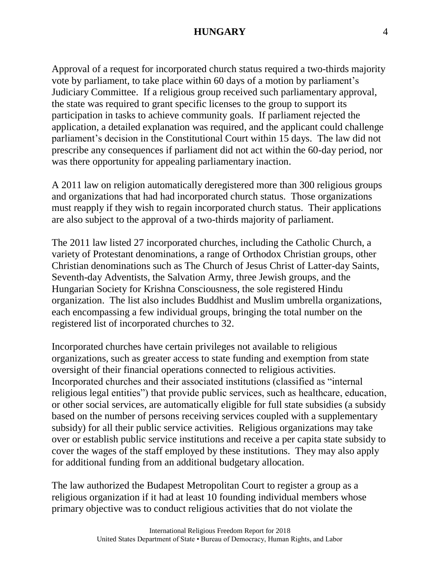Approval of a request for incorporated church status required a two-thirds majority vote by parliament, to take place within 60 days of a motion by parliament's Judiciary Committee. If a religious group received such parliamentary approval, the state was required to grant specific licenses to the group to support its participation in tasks to achieve community goals. If parliament rejected the application, a detailed explanation was required, and the applicant could challenge parliament's decision in the Constitutional Court within 15 days. The law did not prescribe any consequences if parliament did not act within the 60-day period, nor was there opportunity for appealing parliamentary inaction.

A 2011 law on religion automatically deregistered more than 300 religious groups and organizations that had had incorporated church status. Those organizations must reapply if they wish to regain incorporated church status. Their applications are also subject to the approval of a two-thirds majority of parliament.

The 2011 law listed 27 incorporated churches, including the Catholic Church, a variety of Protestant denominations, a range of Orthodox Christian groups, other Christian denominations such as The Church of Jesus Christ of Latter-day Saints, Seventh-day Adventists, the Salvation Army, three Jewish groups, and the Hungarian Society for Krishna Consciousness, the sole registered Hindu organization. The list also includes Buddhist and Muslim umbrella organizations, each encompassing a few individual groups, bringing the total number on the registered list of incorporated churches to 32.

Incorporated churches have certain privileges not available to religious organizations, such as greater access to state funding and exemption from state oversight of their financial operations connected to religious activities. Incorporated churches and their associated institutions (classified as "internal religious legal entities") that provide public services, such as healthcare, education, or other social services, are automatically eligible for full state subsidies (a subsidy based on the number of persons receiving services coupled with a supplementary subsidy) for all their public service activities. Religious organizations may take over or establish public service institutions and receive a per capita state subsidy to cover the wages of the staff employed by these institutions. They may also apply for additional funding from an additional budgetary allocation.

The law authorized the Budapest Metropolitan Court to register a group as a religious organization if it had at least 10 founding individual members whose primary objective was to conduct religious activities that do not violate the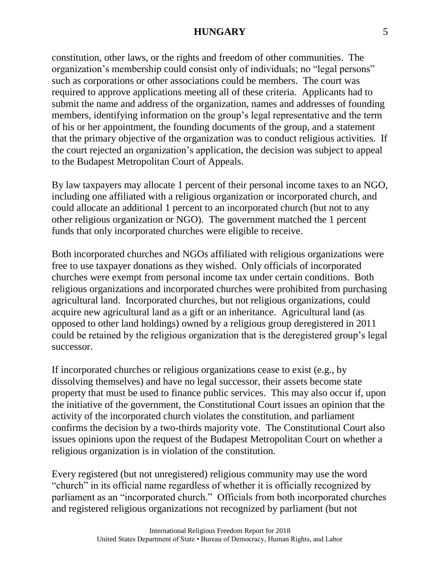constitution, other laws, or the rights and freedom of other communities. The organization's membership could consist only of individuals; no "legal persons" such as corporations or other associations could be members. The court was required to approve applications meeting all of these criteria. Applicants had to submit the name and address of the organization, names and addresses of founding members, identifying information on the group's legal representative and the term of his or her appointment, the founding documents of the group, and a statement that the primary objective of the organization was to conduct religious activities. If the court rejected an organization's application, the decision was subject to appeal to the Budapest Metropolitan Court of Appeals.

By law taxpayers may allocate 1 percent of their personal income taxes to an NGO, including one affiliated with a religious organization or incorporated church, and could allocate an additional 1 percent to an incorporated church (but not to any other religious organization or NGO). The government matched the 1 percent funds that only incorporated churches were eligible to receive.

Both incorporated churches and NGOs affiliated with religious organizations were free to use taxpayer donations as they wished. Only officials of incorporated churches were exempt from personal income tax under certain conditions. Both religious organizations and incorporated churches were prohibited from purchasing agricultural land. Incorporated churches, but not religious organizations, could acquire new agricultural land as a gift or an inheritance. Agricultural land (as opposed to other land holdings) owned by a religious group deregistered in 2011 could be retained by the religious organization that is the deregistered group's legal successor.

If incorporated churches or religious organizations cease to exist (e.g., by dissolving themselves) and have no legal successor, their assets become state property that must be used to finance public services. This may also occur if, upon the initiative of the government, the Constitutional Court issues an opinion that the activity of the incorporated church violates the constitution, and parliament confirms the decision by a two-thirds majority vote. The Constitutional Court also issues opinions upon the request of the Budapest Metropolitan Court on whether a religious organization is in violation of the constitution.

Every registered (but not unregistered) religious community may use the word "church" in its official name regardless of whether it is officially recognized by parliament as an "incorporated church." Officials from both incorporated churches and registered religious organizations not recognized by parliament (but not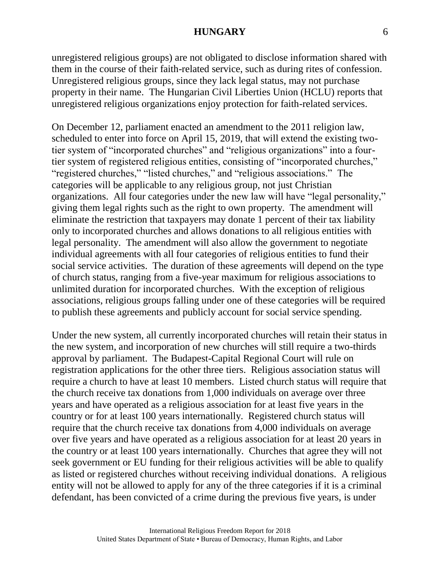unregistered religious groups) are not obligated to disclose information shared with them in the course of their faith-related service, such as during rites of confession. Unregistered religious groups, since they lack legal status, may not purchase property in their name. The Hungarian Civil Liberties Union (HCLU) reports that unregistered religious organizations enjoy protection for faith-related services.

On December 12, parliament enacted an amendment to the 2011 religion law, scheduled to enter into force on April 15, 2019, that will extend the existing twotier system of "incorporated churches" and "religious organizations" into a fourtier system of registered religious entities, consisting of "incorporated churches," "registered churches," "listed churches," and "religious associations." The categories will be applicable to any religious group, not just Christian organizations. All four categories under the new law will have "legal personality," giving them legal rights such as the right to own property. The amendment will eliminate the restriction that taxpayers may donate 1 percent of their tax liability only to incorporated churches and allows donations to all religious entities with legal personality. The amendment will also allow the government to negotiate individual agreements with all four categories of religious entities to fund their social service activities. The duration of these agreements will depend on the type of church status, ranging from a five-year maximum for religious associations to unlimited duration for incorporated churches. With the exception of religious associations, religious groups falling under one of these categories will be required to publish these agreements and publicly account for social service spending.

Under the new system, all currently incorporated churches will retain their status in the new system, and incorporation of new churches will still require a two-thirds approval by parliament. The Budapest-Capital Regional Court will rule on registration applications for the other three tiers. Religious association status will require a church to have at least 10 members. Listed church status will require that the church receive tax donations from 1,000 individuals on average over three years and have operated as a religious association for at least five years in the country or for at least 100 years internationally. Registered church status will require that the church receive tax donations from 4,000 individuals on average over five years and have operated as a religious association for at least 20 years in the country or at least 100 years internationally. Churches that agree they will not seek government or EU funding for their religious activities will be able to qualify as listed or registered churches without receiving individual donations. A religious entity will not be allowed to apply for any of the three categories if it is a criminal defendant, has been convicted of a crime during the previous five years, is under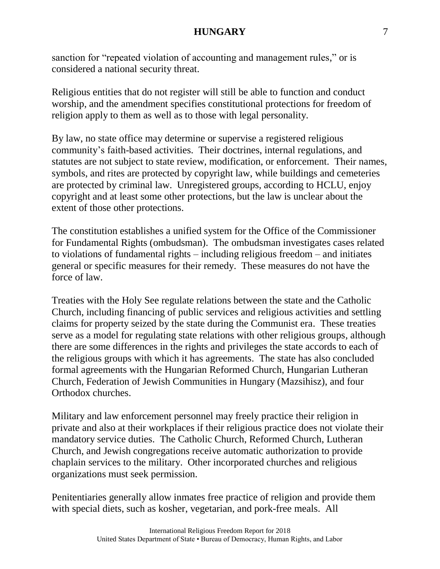sanction for "repeated violation of accounting and management rules," or is considered a national security threat.

Religious entities that do not register will still be able to function and conduct worship, and the amendment specifies constitutional protections for freedom of religion apply to them as well as to those with legal personality.

By law, no state office may determine or supervise a registered religious community's faith-based activities. Their doctrines, internal regulations, and statutes are not subject to state review, modification, or enforcement. Their names, symbols, and rites are protected by copyright law, while buildings and cemeteries are protected by criminal law. Unregistered groups, according to HCLU, enjoy copyright and at least some other protections, but the law is unclear about the extent of those other protections.

The constitution establishes a unified system for the Office of the Commissioner for Fundamental Rights (ombudsman). The ombudsman investigates cases related to violations of fundamental rights – including religious freedom – and initiates general or specific measures for their remedy. These measures do not have the force of law.

Treaties with the Holy See regulate relations between the state and the Catholic Church, including financing of public services and religious activities and settling claims for property seized by the state during the Communist era. These treaties serve as a model for regulating state relations with other religious groups, although there are some differences in the rights and privileges the state accords to each of the religious groups with which it has agreements. The state has also concluded formal agreements with the Hungarian Reformed Church, Hungarian Lutheran Church, Federation of Jewish Communities in Hungary (Mazsihisz), and four Orthodox churches.

Military and law enforcement personnel may freely practice their religion in private and also at their workplaces if their religious practice does not violate their mandatory service duties. The Catholic Church, Reformed Church, Lutheran Church, and Jewish congregations receive automatic authorization to provide chaplain services to the military. Other incorporated churches and religious organizations must seek permission.

Penitentiaries generally allow inmates free practice of religion and provide them with special diets, such as kosher, vegetarian, and pork-free meals. All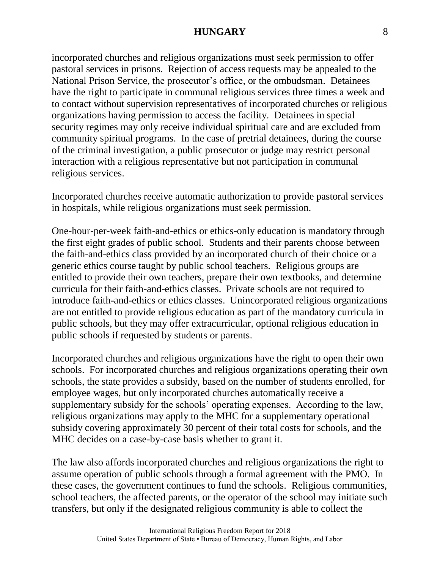incorporated churches and religious organizations must seek permission to offer pastoral services in prisons. Rejection of access requests may be appealed to the National Prison Service, the prosecutor's office, or the ombudsman. Detainees have the right to participate in communal religious services three times a week and to contact without supervision representatives of incorporated churches or religious organizations having permission to access the facility. Detainees in special security regimes may only receive individual spiritual care and are excluded from community spiritual programs. In the case of pretrial detainees, during the course of the criminal investigation, a public prosecutor or judge may restrict personal interaction with a religious representative but not participation in communal religious services.

Incorporated churches receive automatic authorization to provide pastoral services in hospitals, while religious organizations must seek permission.

One-hour-per-week faith-and-ethics or ethics-only education is mandatory through the first eight grades of public school. Students and their parents choose between the faith-and-ethics class provided by an incorporated church of their choice or a generic ethics course taught by public school teachers. Religious groups are entitled to provide their own teachers, prepare their own textbooks, and determine curricula for their faith-and-ethics classes. Private schools are not required to introduce faith-and-ethics or ethics classes. Unincorporated religious organizations are not entitled to provide religious education as part of the mandatory curricula in public schools, but they may offer extracurricular, optional religious education in public schools if requested by students or parents.

Incorporated churches and religious organizations have the right to open their own schools. For incorporated churches and religious organizations operating their own schools, the state provides a subsidy, based on the number of students enrolled, for employee wages, but only incorporated churches automatically receive a supplementary subsidy for the schools' operating expenses. According to the law, religious organizations may apply to the MHC for a supplementary operational subsidy covering approximately 30 percent of their total costs for schools, and the MHC decides on a case-by-case basis whether to grant it.

The law also affords incorporated churches and religious organizations the right to assume operation of public schools through a formal agreement with the PMO. In these cases, the government continues to fund the schools. Religious communities, school teachers, the affected parents, or the operator of the school may initiate such transfers, but only if the designated religious community is able to collect the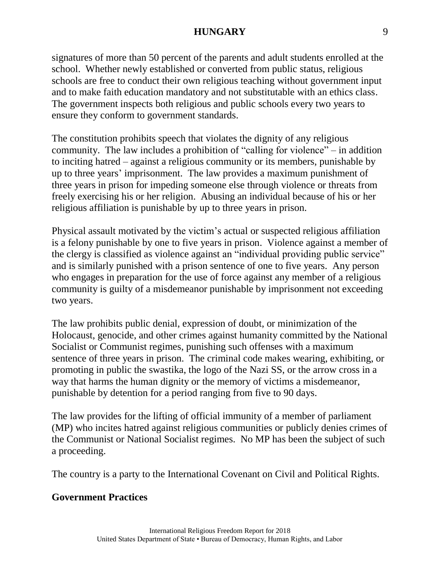signatures of more than 50 percent of the parents and adult students enrolled at the school. Whether newly established or converted from public status, religious schools are free to conduct their own religious teaching without government input and to make faith education mandatory and not substitutable with an ethics class. The government inspects both religious and public schools every two years to ensure they conform to government standards.

The constitution prohibits speech that violates the dignity of any religious community. The law includes a prohibition of "calling for violence" – in addition to inciting hatred – against a religious community or its members, punishable by up to three years' imprisonment. The law provides a maximum punishment of three years in prison for impeding someone else through violence or threats from freely exercising his or her religion. Abusing an individual because of his or her religious affiliation is punishable by up to three years in prison.

Physical assault motivated by the victim's actual or suspected religious affiliation is a felony punishable by one to five years in prison. Violence against a member of the clergy is classified as violence against an "individual providing public service" and is similarly punished with a prison sentence of one to five years. Any person who engages in preparation for the use of force against any member of a religious community is guilty of a misdemeanor punishable by imprisonment not exceeding two years.

The law prohibits public denial, expression of doubt, or minimization of the Holocaust, genocide, and other crimes against humanity committed by the National Socialist or Communist regimes, punishing such offenses with a maximum sentence of three years in prison. The criminal code makes wearing, exhibiting, or promoting in public the swastika, the logo of the Nazi SS, or the arrow cross in a way that harms the human dignity or the memory of victims a misdemeanor, punishable by detention for a period ranging from five to 90 days.

The law provides for the lifting of official immunity of a member of parliament (MP) who incites hatred against religious communities or publicly denies crimes of the Communist or National Socialist regimes. No MP has been the subject of such a proceeding.

The country is a party to the International Covenant on Civil and Political Rights.

## **Government Practices**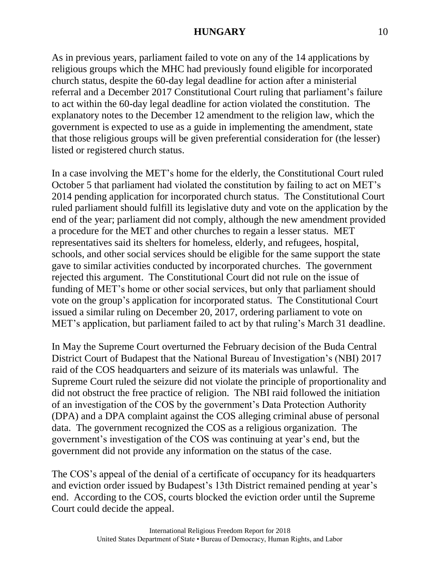As in previous years, parliament failed to vote on any of the 14 applications by religious groups which the MHC had previously found eligible for incorporated church status, despite the 60-day legal deadline for action after a ministerial referral and a December 2017 Constitutional Court ruling that parliament's failure to act within the 60-day legal deadline for action violated the constitution. The explanatory notes to the December 12 amendment to the religion law, which the government is expected to use as a guide in implementing the amendment, state that those religious groups will be given preferential consideration for (the lesser) listed or registered church status.

In a case involving the MET's home for the elderly, the Constitutional Court ruled October 5 that parliament had violated the constitution by failing to act on MET's 2014 pending application for incorporated church status. The Constitutional Court ruled parliament should fulfill its legislative duty and vote on the application by the end of the year; parliament did not comply, although the new amendment provided a procedure for the MET and other churches to regain a lesser status. MET representatives said its shelters for homeless, elderly, and refugees, hospital, schools, and other social services should be eligible for the same support the state gave to similar activities conducted by incorporated churches. The government rejected this argument. The Constitutional Court did not rule on the issue of funding of MET's home or other social services, but only that parliament should vote on the group's application for incorporated status. The Constitutional Court issued a similar ruling on December 20, 2017, ordering parliament to vote on MET's application, but parliament failed to act by that ruling's March 31 deadline.

In May the Supreme Court overturned the February decision of the Buda Central District Court of Budapest that the National Bureau of Investigation's (NBI) 2017 raid of the COS headquarters and seizure of its materials was unlawful. The Supreme Court ruled the seizure did not violate the principle of proportionality and did not obstruct the free practice of religion. The NBI raid followed the initiation of an investigation of the COS by the government's Data Protection Authority (DPA) and a DPA complaint against the COS alleging criminal abuse of personal data. The government recognized the COS as a religious organization. The government's investigation of the COS was continuing at year's end, but the government did not provide any information on the status of the case.

The COS's appeal of the denial of a certificate of occupancy for its headquarters and eviction order issued by Budapest's 13th District remained pending at year's end. According to the COS, courts blocked the eviction order until the Supreme Court could decide the appeal.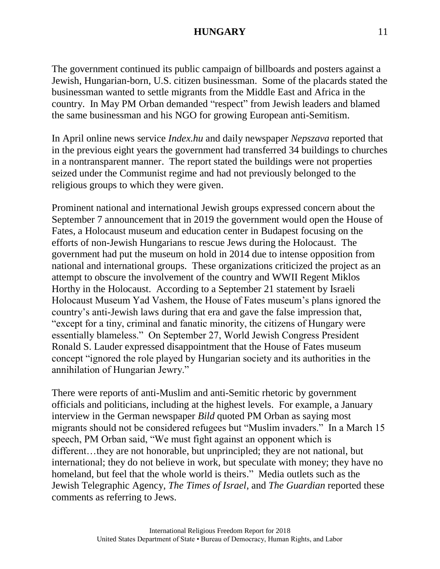The government continued its public campaign of billboards and posters against a Jewish, Hungarian-born, U.S. citizen businessman. Some of the placards stated the businessman wanted to settle migrants from the Middle East and Africa in the country. In May PM Orban demanded "respect" from Jewish leaders and blamed the same businessman and his NGO for growing European anti-Semitism.

In April online news service *Index.hu* and daily newspaper *Nepszava* reported that in the previous eight years the government had transferred 34 buildings to churches in a nontransparent manner. The report stated the buildings were not properties seized under the Communist regime and had not previously belonged to the religious groups to which they were given.

Prominent national and international Jewish groups expressed concern about the September 7 announcement that in 2019 the government would open the House of Fates, a Holocaust museum and education center in Budapest focusing on the efforts of non-Jewish Hungarians to rescue Jews during the Holocaust. The government had put the museum on hold in 2014 due to intense opposition from national and international groups. These organizations criticized the project as an attempt to obscure the involvement of the country and WWII Regent Miklos Horthy in the Holocaust. According to a September 21 statement by Israeli Holocaust Museum Yad Vashem, the House of Fates museum's plans ignored the country's anti-Jewish laws during that era and gave the false impression that, "except for a tiny, criminal and fanatic minority, the citizens of Hungary were essentially blameless." On September 27, World Jewish Congress President Ronald S. Lauder expressed disappointment that the House of Fates museum concept "ignored the role played by Hungarian society and its authorities in the annihilation of Hungarian Jewry."

There were reports of anti-Muslim and anti-Semitic rhetoric by government officials and politicians, including at the highest levels. For example, a January interview in the German newspaper *Bild* quoted PM Orban as saying most migrants should not be considered refugees but "Muslim invaders." In a March 15 speech, PM Orban said, "We must fight against an opponent which is different…they are not honorable, but unprincipled; they are not national, but international; they do not believe in work, but speculate with money; they have no homeland, but feel that the whole world is theirs." Media outlets such as the Jewish Telegraphic Agency, *The Times of Israel*, and *The Guardian* reported these comments as referring to Jews.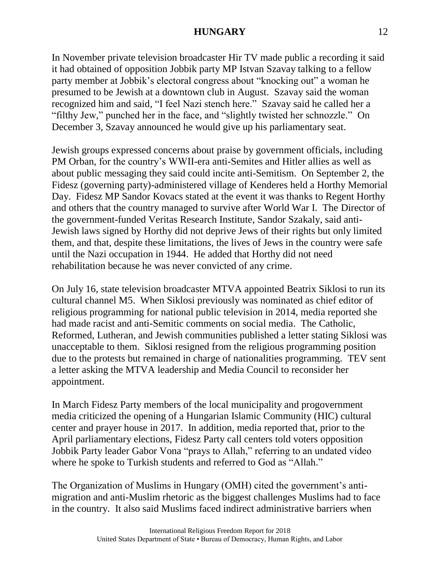In November private television broadcaster Hir TV made public a recording it said it had obtained of opposition Jobbik party MP Istvan Szavay talking to a fellow party member at Jobbik's electoral congress about "knocking out" a woman he presumed to be Jewish at a downtown club in August. Szavay said the woman recognized him and said, "I feel Nazi stench here." [Szavay said he called](https://hirtv.hu/ahirtvhirei/megvan-ki-az-a-jobbikos-parlamenti-kepviselo-aki-zsidoveressel-buszkelkedett-2472416) her a ["filthy Jew," punched her in the face,](https://hirtv.hu/ahirtvhirei/megvan-ki-az-a-jobbikos-parlamenti-kepviselo-aki-zsidoveressel-buszkelkedett-2472416) and "slightly twisted her schnozzle." On December 3, Szavay announced he would give up his parliamentary seat.

Jewish groups expressed concerns about praise by government officials, including PM Orban, for the country's WWII-era anti-Semites and Hitler allies as well as about public messaging they said could incite anti-Semitism. On September 2, the Fidesz (governing party)-administered village of Kenderes held a Horthy Memorial Day. Fidesz MP Sandor Kovacs stated at the event it was thanks to Regent Horthy and others that the country managed to survive after World War I. The Director of the government-funded Veritas Research Institute, Sandor Szakaly, said anti-Jewish laws signed by Horthy did not deprive Jews of their rights but only limited them, and that, despite these limitations, the lives of Jews in the country were safe until the Nazi occupation in 1944. He added that Horthy did not need rehabilitation because he was never convicted of any crime.

On July 16, state television broadcaster MTVA appointed Beatrix Siklosi to run its cultural channel M5. When Siklosi previously was nominated as chief editor of religious programming for national public television in 2014, media reported she had made racist and anti-Semitic comments on social media. The Catholic, Reformed, Lutheran, and Jewish communities published a letter stating Siklosi was unacceptable to them. Siklosi resigned from the religious programming position due to the protests but remained in charge of nationalities programming. TEV sent a letter asking the MTVA leadership and Media Council to reconsider her appointment.

In March Fidesz Party members of the local municipality and progovernment media criticized the opening of a Hungarian Islamic Community (HIC) cultural center and prayer house in 2017. In addition, media reported that, prior to the April parliamentary elections, Fidesz Party call centers told voters opposition Jobbik Party leader Gabor Vona "prays to Allah," referring to an undated video where he spoke to Turkish students and referred to God as "Allah."

The Organization of Muslims in Hungary (OMH) cited the government's antimigration and anti-Muslim rhetoric as the biggest challenges Muslims had to face in the country. It also said Muslims faced indirect administrative barriers when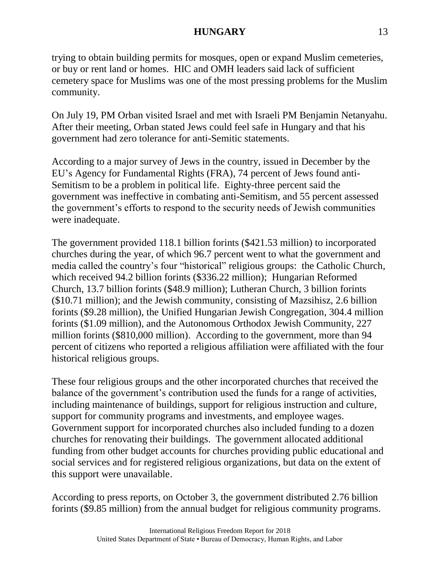trying to obtain building permits for mosques, open or expand Muslim cemeteries, or buy or rent land or homes. HIC and OMH leaders said lack of sufficient cemetery space for Muslims was one of the most pressing problems for the Muslim community.

On July 19, PM Orban visited Israel and met with Israeli PM Benjamin Netanyahu. After their meeting, Orban stated Jews could feel safe in Hungary and that his government had zero tolerance for anti-Semitic statements.

According to a major survey of Jews in the country, issued in December by the EU's Agency for Fundamental Rights (FRA), 74 percent of Jews found anti-Semitism to be a problem in political life. Eighty-three percent said the government was ineffective in combating anti-Semitism, and 55 percent assessed the government's efforts to respond to the security needs of Jewish communities were inadequate.

The government provided 118.1 billion forints (\$421.53 million) to incorporated churches during the year, of which 96.7 percent went to what the government and media called the country's four "historical" religious groups: the Catholic Church, which received 94.2 billion forints (\$336.22 million); Hungarian Reformed Church, 13.7 billion forints (\$48.9 million); Lutheran Church, 3 billion forints (\$10.71 million); and the Jewish community, consisting of Mazsihisz, 2.6 billion forints (\$9.28 million), the Unified Hungarian Jewish Congregation, 304.4 million forints (\$1.09 million), and the Autonomous Orthodox Jewish Community, 227 million forints (\$810,000 million). According to the government, more than 94 percent of citizens who reported a religious affiliation were affiliated with the four historical religious groups.

These four religious groups and the other incorporated churches that received the balance of the government's contribution used the funds for a range of activities, including maintenance of buildings, support for religious instruction and culture, support for community programs and investments, and employee wages. Government support for incorporated churches also included funding to a dozen churches for renovating their buildings. The government allocated additional funding from other budget accounts for churches providing public educational and social services and for registered religious organizations, but data on the extent of this support were unavailable.

According to press reports, on October 3, the government distributed 2.76 billion forints (\$9.85 million) from the annual budget for religious community programs.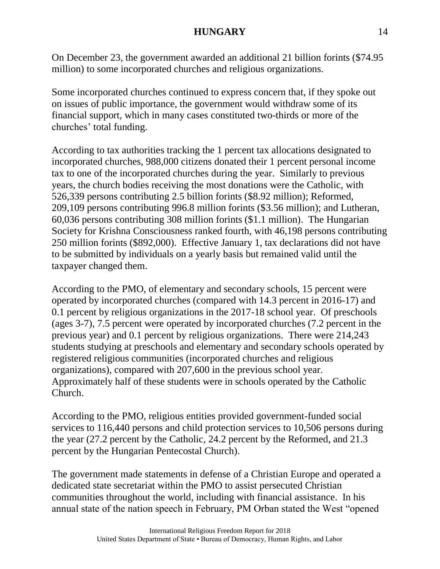On December 23, the government awarded an additional 21 billion forints (\$74.95 million) to some incorporated churches and religious organizations.

Some incorporated churches continued to express concern that, if they spoke out on issues of public importance, the government would withdraw some of its financial support, which in many cases constituted two-thirds or more of the churches' total funding.

According to tax authorities tracking the 1 percent tax allocations designated to incorporated churches, 988,000 citizens donated their 1 percent personal income tax to one of the incorporated churches during the year. Similarly to previous years, the church bodies receiving the most donations were the Catholic, with 526,339 persons contributing 2.5 billion forints (\$8.92 million); Reformed, 209,109 persons contributing 996.8 million forints (\$3.56 million); and Lutheran, 60,036 persons contributing 308 million forints (\$1.1 million). The Hungarian Society for Krishna Consciousness ranked fourth, with 46,198 persons contributing 250 million forints (\$892,000). Effective January 1, tax declarations did not have to be submitted by individuals on a yearly basis but remained valid until the taxpayer changed them.

According to the PMO, of elementary and secondary schools, 15 percent were operated by incorporated churches (compared with 14.3 percent in 2016-17) and 0.1 percent by religious organizations in the 2017-18 school year. Of preschools (ages 3-7), 7.5 percent were operated by incorporated churches (7.2 percent in the previous year) and 0.1 percent by religious organizations. There were 214,243 students studying at preschools and elementary and secondary schools operated by registered religious communities (incorporated churches and religious organizations), compared with 207,600 in the previous school year. Approximately half of these students were in schools operated by the Catholic Church.

According to the PMO, religious entities provided government-funded social services to 116,440 persons and child protection services to 10,506 persons during the year (27.2 percent by the Catholic, 24.2 percent by the Reformed, and 21.3 percent by the Hungarian Pentecostal Church).

The government made statements in defense of a Christian Europe and operated a dedicated state secretariat within the PMO to assist persecuted Christian communities throughout the world, including with financial assistance. In his annual state of the nation speech in February, PM Orban stated the West "opened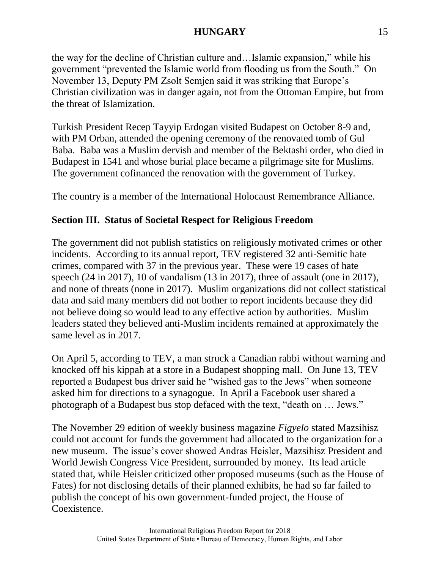the way for the decline of Christian culture and…Islamic expansion," while his government "prevented the Islamic world from flooding us from the South." On November 13, Deputy PM Zsolt Semjen said it was striking that Europe's Christian civilization was in danger again, not from the Ottoman Empire, but from the threat of Islamization.

Turkish President Recep Tayyip Erdogan visited Budapest on October 8-9 and, with PM Orban, attended the opening ceremony of the renovated tomb of Gul Baba. Baba was a Muslim dervish and member of the Bektashi order, who died in Budapest in 1541 and whose burial place became a pilgrimage site for Muslims. The government cofinanced the renovation with the government of Turkey.

The country is a member of the International Holocaust Remembrance Alliance.

# **Section III. Status of Societal Respect for Religious Freedom**

The government did not publish statistics on religiously motivated crimes or other incidents. According to its annual report, TEV registered 32 anti-Semitic hate crimes, compared with 37 in the previous year. These were 19 cases of hate speech (24 in 2017), 10 of vandalism (13 in 2017), three of assault (one in 2017), and none of threats (none in 2017). Muslim organizations did not collect statistical data and said many members did not bother to report incidents because they did not believe doing so would lead to any effective action by authorities. Muslim leaders stated they believed anti-Muslim incidents remained at approximately the same level as in 2017.

On April 5, according to TEV, a man struck a Canadian rabbi without warning and knocked off his kippah at a store in a Budapest shopping mall. On June 13, TEV reported a Budapest bus driver said he "wished gas to the Jews" when someone asked him for directions to a synagogue. In April a Facebook user shared a photograph of a Budapest bus stop defaced with the text, "death on … Jews."

The November 29 edition of weekly business magazine *Figyelo* stated Mazsihisz could not account for funds the government had allocated to the organization for a new museum. The issue's cover showed Andras Heisler, Mazsihisz President and World Jewish Congress Vice President, surrounded by money. Its lead article stated that, while Heisler criticized other proposed museums (such as the House of Fates) for not disclosing details of their planned exhibits, he had so far failed to publish the concept of his own government-funded project, the House of Coexistence.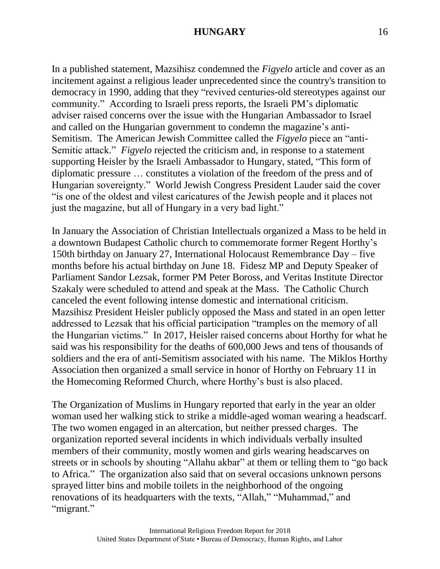In a published statement, Mazsihisz condemned the *Figyelo* article and cover as an incitement against a religious leader unprecedented since the country's transition to democracy in 1990, adding that they "revived centuries-old stereotypes against our community." According to Israeli press reports, the Israeli PM's diplomatic adviser raised concerns over the issue with the Hungarian Ambassador to Israel and called on the Hungarian government to condemn the magazine's anti-Semitism. The American Jewish Committee called the *Figyelo* piece an "anti-Semitic attack." *Figyelo* rejected the criticism and, in response to a statement supporting Heisler by the Israeli Ambassador to Hungary, stated, "This form of diplomatic pressure … constitutes a violation of the freedom of the press and of Hungarian sovereignty." World Jewish Congress President Lauder said the cover "is one of the oldest and vilest caricatures of the Jewish people and it places not just the magazine, but all of Hungary in a very bad light."

In January the Association of Christian Intellectuals organized a Mass to be held in a downtown Budapest Catholic church to commemorate former Regent Horthy's 150th birthday on January 27, International Holocaust Remembrance Day – five months before his actual birthday on June 18. Fidesz MP and Deputy Speaker of Parliament Sandor Lezsak, former PM Peter Boross, and Veritas Institute Director Szakaly were scheduled to attend and speak at the Mass. The Catholic Church canceled the event following intense domestic and international criticism. Mazsihisz President Heisler publicly opposed the Mass and stated in an open letter addressed to Lezsak that his official participation "tramples on the memory of all the Hungarian victims." In 2017, Heisler raised concerns about Horthy for what he said was his responsibility for the deaths of 600,000 Jews and tens of thousands of soldiers and the era of anti-Semitism associated with his name. The Miklos Horthy Association then organized a small service in honor of Horthy on February 11 in the Homecoming Reformed Church, where Horthy's bust is also placed.

The Organization of Muslims in Hungary reported that early in the year an older woman used her walking stick to strike a middle-aged woman wearing a headscarf. The two women engaged in an altercation, but neither pressed charges. The organization reported several incidents in which individuals verbally insulted members of their community, mostly women and girls wearing headscarves on streets or in schools by shouting "Allahu akbar" at them or telling them to "go back to Africa." The organization also said that on several occasions unknown persons sprayed litter bins and mobile toilets in the neighborhood of the ongoing renovations of its headquarters with the texts, "Allah," "Muhammad," and "migrant."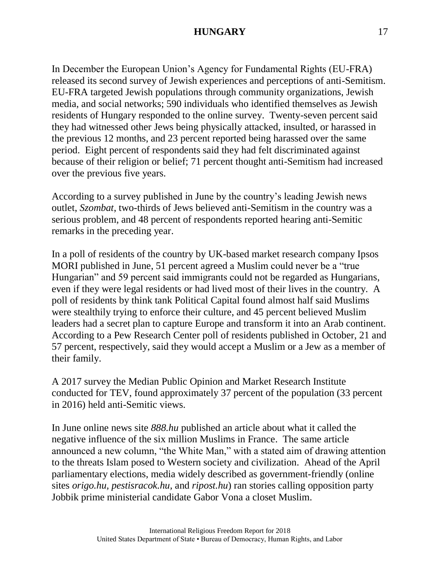In December the European Union's Agency for Fundamental Rights (EU-FRA) released its second survey of Jewish experiences and perceptions of anti-Semitism. EU-FRA targeted Jewish populations through community organizations, Jewish media, and social networks; 590 individuals who identified themselves as Jewish residents of Hungary responded to the online survey. Twenty-seven percent said they had witnessed other Jews being physically attacked, insulted, or harassed in the previous 12 months, and 23 percent reported being harassed over the same period. Eight percent of respondents said they had felt discriminated against because of their religion or belief; 71 percent thought anti-Semitism had increased over the previous five years.

According to a survey published in June by the country's leading Jewish news outlet, *Szombat*, two-thirds of Jews believed anti-Semitism in the country was a serious problem, and 48 percent of respondents reported hearing anti-Semitic remarks in the preceding year.

In a poll of residents of the country by UK-based market research company Ipsos MORI published in June, 51 percent agreed a Muslim could never be a "true Hungarian" and 59 percent said immigrants could not be regarded as Hungarians, even if they were legal residents or had lived most of their lives in the country. A poll of residents by think tank Political Capital found almost half said Muslims were stealthily trying to enforce their culture, and 45 percent believed Muslim leaders had a secret plan to capture Europe and transform it into an Arab continent. According to a Pew Research Center poll of residents published in October, 21 and 57 percent, respectively, said they would accept a Muslim or a Jew as a member of their family.

A 2017 survey the Median Public Opinion and Market Research Institute conducted for TEV, found approximately 37 percent of the population (33 percent in 2016) held anti-Semitic views.

In June online news site *888.hu* published an article about what it called the negative influence of the six million Muslims in France. The same article announced a new column, "the White Man," with a stated aim of drawing attention to the threats Islam posed to Western society and civilization. Ahead of the April parliamentary elections, media widely described as government-friendly (online sites *origo.hu, pestisracok.hu,* and *ripost.hu*) ran stories calling opposition party Jobbik prime ministerial candidate Gabor Vona a closet Muslim.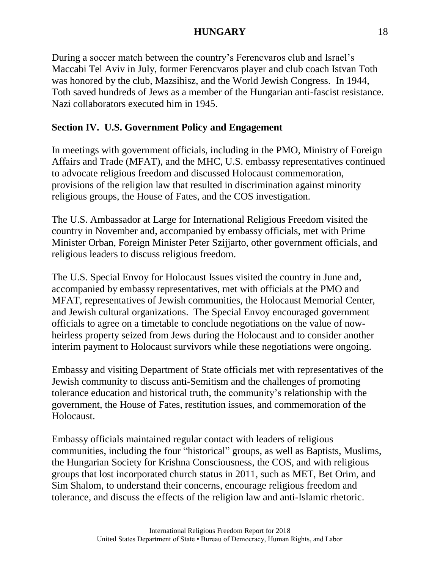During a soccer match between the country's Ferencvaros club and Israel's Maccabi Tel Aviv in July, former Ferencvaros player and club coach Istvan Toth was honored by the club, Mazsihisz, and the World Jewish Congress. In 1944, Toth saved hundreds of Jews as a member of the Hungarian anti-fascist resistance. Nazi collaborators executed him in 1945.

## **Section IV. U.S. Government Policy and Engagement**

In meetings with government officials, including in the PMO, Ministry of Foreign Affairs and Trade (MFAT), and the MHC, U.S. embassy representatives continued to advocate religious freedom and discussed Holocaust commemoration, provisions of the religion law that resulted in discrimination against minority religious groups, the House of Fates, and the COS investigation.

The U.S. Ambassador at Large for International Religious Freedom visited the country in November and, accompanied by embassy officials, met with Prime Minister Orban, Foreign Minister Peter Szijjarto, other government officials, and religious leaders to discuss religious freedom.

The U.S. Special Envoy for Holocaust Issues visited the country in June and, accompanied by embassy representatives, met with officials at the PMO and MFAT, representatives of Jewish communities, the Holocaust Memorial Center, and Jewish cultural organizations. The Special Envoy encouraged government officials to agree on a timetable to conclude negotiations on the value of nowheirless property seized from Jews during the Holocaust and to consider another interim payment to Holocaust survivors while these negotiations were ongoing.

Embassy and visiting Department of State officials met with representatives of the Jewish community to discuss anti-Semitism and the challenges of promoting tolerance education and historical truth, the community's relationship with the government, the House of Fates, restitution issues, and commemoration of the Holocaust.

Embassy officials maintained regular contact with leaders of religious communities, including the four "historical" groups, as well as Baptists, Muslims, the Hungarian Society for Krishna Consciousness, the COS, and with religious groups that lost incorporated church status in 2011, such as MET, Bet Orim, and Sim Shalom, to understand their concerns, encourage religious freedom and tolerance, and discuss the effects of the religion law and anti-Islamic rhetoric.